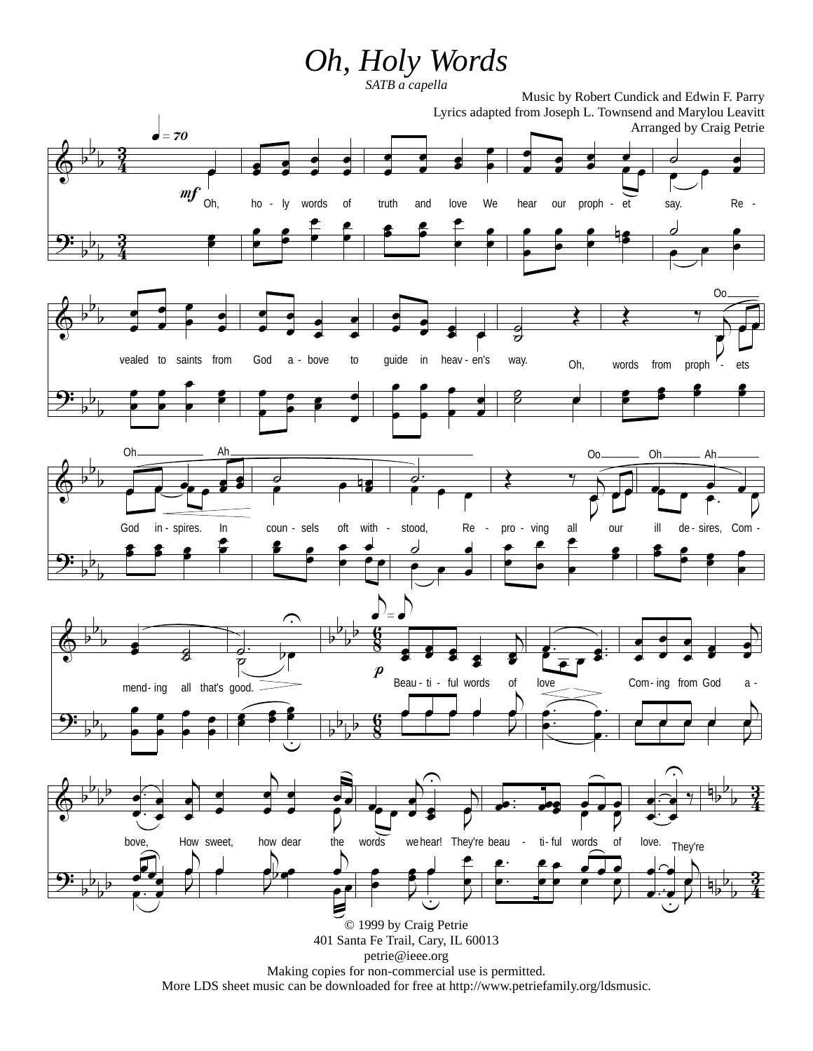## *Oh, Holy Words*

*SATB a capella*



More LDS sheet music can be downloaded for free at http://www.petriefamily.org/ldsmusic.